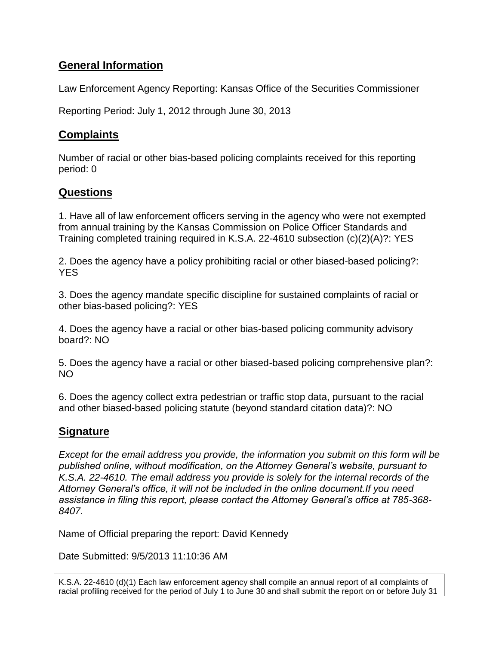## **General Information**

Law Enforcement Agency Reporting: Kansas Office of the Securities Commissioner

Reporting Period: July 1, 2012 through June 30, 2013

## **Complaints**

Number of racial or other bias-based policing complaints received for this reporting period: 0

## **Questions**

1. Have all of law enforcement officers serving in the agency who were not exempted from annual training by the Kansas Commission on Police Officer Standards and Training completed training required in K.S.A. 22-4610 subsection (c)(2)(A)?: YES

2. Does the agency have a policy prohibiting racial or other biased-based policing?: YES

3. Does the agency mandate specific discipline for sustained complaints of racial or other bias-based policing?: YES

4. Does the agency have a racial or other bias-based policing community advisory board?: NO

5. Does the agency have a racial or other biased-based policing comprehensive plan?: NO

6. Does the agency collect extra pedestrian or traffic stop data, pursuant to the racial and other biased-based policing statute (beyond standard citation data)?: NO

## **Signature**

*Except for the email address you provide, the information you submit on this form will be published online, without modification, on the Attorney General's website, pursuant to K.S.A. 22-4610. The email address you provide is solely for the internal records of the Attorney General's office, it will not be included in the online document.If you need assistance in filing this report, please contact the Attorney General's office at 785-368- 8407.*

Name of Official preparing the report: David Kennedy

Date Submitted: 9/5/2013 11:10:36 AM

K.S.A. 22-4610 (d)(1) Each law enforcement agency shall compile an annual report of all complaints of racial profiling received for the period of July 1 to June 30 and shall submit the report on or before July 31